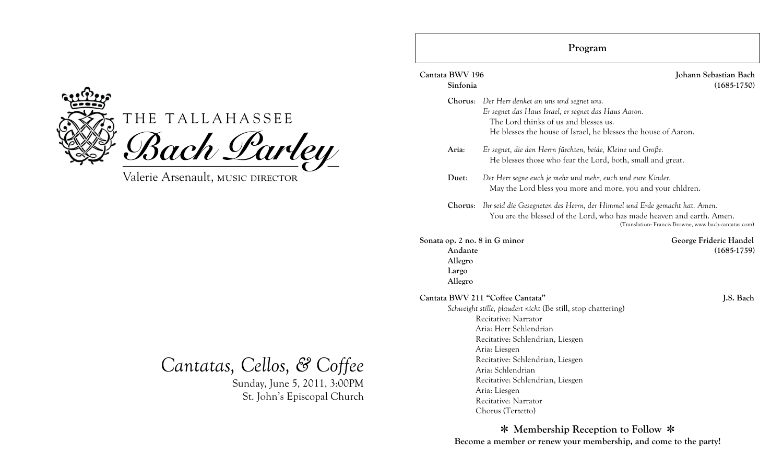

# THE TALLAHASSEE Bach Larley

Valerie Arsenault, MUSIC DIRECTOR

*Cantatas, Cellos, & Coffee*

Sunday, June 5, 2011, 3:00PM St. John's Episcopal Church

| Cantata BWV 196<br>Sinfonia                                             |                                                                                                                                                                                                                                                                                                                                                                    | Johann Sebastian Bach<br>$(1685-1750)$  |  |
|-------------------------------------------------------------------------|--------------------------------------------------------------------------------------------------------------------------------------------------------------------------------------------------------------------------------------------------------------------------------------------------------------------------------------------------------------------|-----------------------------------------|--|
| Chorus:                                                                 | Der Herr denket an uns und segnet uns.<br>Er segnet das Haus Israel, er segnet das Haus Aaron.<br>The Lord thinks of us and blesses us.<br>He blesses the house of Israel, he blesses the house of Aaron.                                                                                                                                                          |                                         |  |
| Aria:                                                                   | Er segnet, die den Herrn fürchten, beide, Kleine und Große.<br>He blesses those who fear the Lord, both, small and great.                                                                                                                                                                                                                                          |                                         |  |
| Duet:                                                                   | Der Herr segne euch je mehr und mehr, euch und eure Kinder.<br>May the Lord bless you more and more, you and your children.                                                                                                                                                                                                                                        |                                         |  |
| Chorus:                                                                 | Ihr seid die Gesegneten des Herrn, der Himmel und Erde gemacht hat. Amen.<br>You are the blessed of the Lord, who has made heaven and earth. Amen.<br>(Translation: Francis Browne, www.bach-cantatas.com)                                                                                                                                                         |                                         |  |
| Sonata op. 2 no. 8 in G minor<br>Andante<br>Allegro<br>Largo<br>Allegro |                                                                                                                                                                                                                                                                                                                                                                    | George Frideric Handel<br>$(1685-1759)$ |  |
|                                                                         | Cantata BWV 211 "Coffee Cantata"<br>Schweight stille, plaudert nicht (Be still, stop chattering)<br>Recitative: Narrator<br>Aria: Herr Schlendrian<br>Recitative: Schlendrian, Liesgen<br>Aria: Liesgen<br>Recitative: Schlendrian, Liesgen<br>Aria: Schlendrian<br>Recitative: Schlendrian, Liesgen<br>Aria: Liesgen<br>Recitative: Narrator<br>Chorus (Terzetto) | J.S. Bach                               |  |

**Program**

✽ **Membership Reception to Follow** ✽ **Become a member or renew your membership, and come to the party!**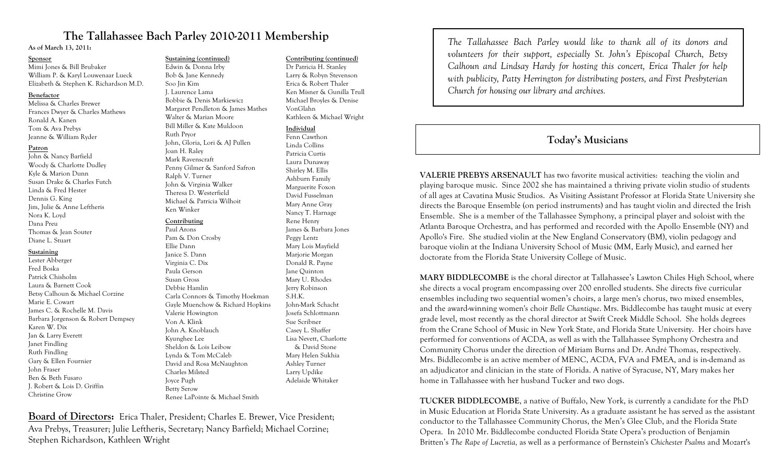# **The Tallahassee Bach Parley 2010-2011 Membership**

**As of March 13, 2011:**

#### **Sponsor**

Mimi Jones & Bill Brubaker William P. & Karyl Louwenaar Lueck Elizabeth & Stephen K. Richardson M.D.

#### **Benefactor**

Melissa & Charles Brewer Frances Dwyer & Charles Mathews Ronald A. Kanen Tom & Ava Prebys Jeanne & William Ryder

#### **Patron**

John & Nancy Barfield Woody & Charlotte Dudley Kyle & Marion Dunn Susan Drake & Charles Futch Linda & Fred Hester Dennis G. King Jim, Julie & Anne Leftheris Nora K. Loyd Dana Preu Thomas & Jean Souter Diane L. Stuart

#### **Sustaining**

Lester Abberger Fred Boska Patrick Chisholm Laura & Barnett Cook Betsy Calhoun & Michael Corzine Marie E. Cowart James C. & Rochelle M. Davis Barbara Jorgenson & Robert Dempsey Karen W. Dix Jan & Larry Everett Janet Findling Ruth Findling Gary & Ellen Fournier John Fraser Ben & Beth Fusaro J. Robert & Lois D. Griffin Christine Grow

# **Sustaining (continued)**

Edwin & Donna Irby Bob & Jane Kennedy Soo Jin Kim J. Laurence Lama Bobbie & Denis Markiewicz Margaret Pendleton & James Mathes Walter & Marian Moore Bill Miller & Kate Muldoon Ruth Pryor John, Gloria, Lori & AJ Pullen Joan H. Raley Mark Ravenscraft Penny Gilmer & Sanford Safron Ralph V. Turner John & Virginia Walker Theresa D. Westerfield Michael & Patricia Wilhoit Ken Winker

#### **Contributing**

Paul Arons Pam & Don Crosby Ellie Dann Janice S. Dann Virginia C. Dix Paula Gerson Susan Gross Debbie Hamlin Carla Connors & Timothy Hoekman Gayle Muenchow & Richard Hopkins Valerie Howington Von A. Klink John A. Knoblauch Kyunghee Lee Sheldon & Lois Leibow Lynda & Tom McCaleb David and Rosa McNaughton Charles Milsted Joyce Pugh Betty Serow Renee LaPointe & Michael Smith

#### **Contributing (continued)**

Dr Patricia H. Stanley Larry & Robyn Stevenson Erica & Robert Thaler Ken Misner & Gunilla Trull Michael Broyles & Denise VonGlahn Kathleen & Michael Wright

#### **Individual**

Fenn Cawthon Linda Collins Patricia Curtis Laura Dunaway Shirley M. Ellis Ashburn Family Marguerite Foxon David Fusselman Mary Anne Gray Nancy T. Harnage Rene Henry James & Barbara Jones Peggy Lentz Mary Lois Mayfield Marjorie Morgan Donald R. Payne Jane Quinton Mary U. Rhodes Jerry Robinson S.H.K. John-Mark Schacht Josefa Schlottmann Sue Scribner Casey L. Shaffer Lisa Nevett, Charlotte & David Stone Mary Helen Sukhia Ashley Turner Larry Updike Adelaide Whitaker

**Board of Directors:** Erica Thaler, President; Charles E. Brewer, Vice President; Ava Prebys, Treasurer; Julie Leftheris, Secretary; Nancy Barfield; Michael Corzine; Stephen Richardson, Kathleen Wright

*The Tallahassee Bach Parley would like to thank all of its donors and volunteers for their support, especially St. John's Episcopal Church, Betsy Calhoun and Lindsay Hardy for hosting this concert, Erica Thaler for help with publicity, Patty Herrington for distributing posters, and First Presbyterian Church for housing our library and archives.*

# **Today's Musicians**

**VALERIE PREBYS ARSENAULT** has two favorite musical activities: teaching the violin and playing baroque music. Since 2002 she has maintained a thriving private violin studio of students of all ages at Cavatina Music Studios. As Visiting Assistant Professor at Florida State University she directs the Baroque Ensemble (on period instruments) and has taught violin and directed the Irish Ensemble. She is a member of the Tallahassee Symphony, a principal player and soloist with the Atlanta Baroque Orchestra, and has performed and recorded with the Apollo Ensemble (NY) and Apollo's Fire. She studied violin at the New England Conservatory (BM), violin pedagogy and baroque violin at the Indiana University School of Music (MM, Early Music), and earned her doctorate from the Florida State University College of Music.

**MARY BIDDLECOMBE** is the choral director at Tallahassee's Lawton Chiles High School, where she directs a vocal program encompassing over 200 enrolled students. She directs five curricular ensembles including two sequential women's choirs, a large men's chorus, two mixed ensembles, and the award-winning women's choir *Belle Chantique*. Mrs. Biddlecombe has taught music at every grade level, most recently as the choral director at Swift Creek Middle School. She holds degrees from the Crane School of Music in New York State, and Florida State University. Her choirs have performed for conventions of ACDA, as well as with the Tallahassee Symphony Orchestra and Community Chorus under the direction of Miriam Burns and Dr. André Thomas, respectively. Mrs. Biddlecombe is an active member of MENC, ACDA, FVA and FMEA, and is in-demand as an adjudicator and clinician in the state of Florida. A native of Syracuse, NY, Mary makes her home in Tallahassee with her husband Tucker and two dogs.

**TUCKER BIDDLECOMBE**, a native of Buffalo, New York, is currently a candidate for the PhD in Music Education at Florida State University. As a graduate assistant he has served as the assistant conductor to the Tallahassee Community Chorus, the Men's Glee Club, and the Florida State Opera. In 2010 Mr. Biddlecombe conducted Florida State Opera's production of Benjamin Britten's *The Rape of Lucretia,* as well as a performance of Bernstein's *Chichester Psalms* and Mozart's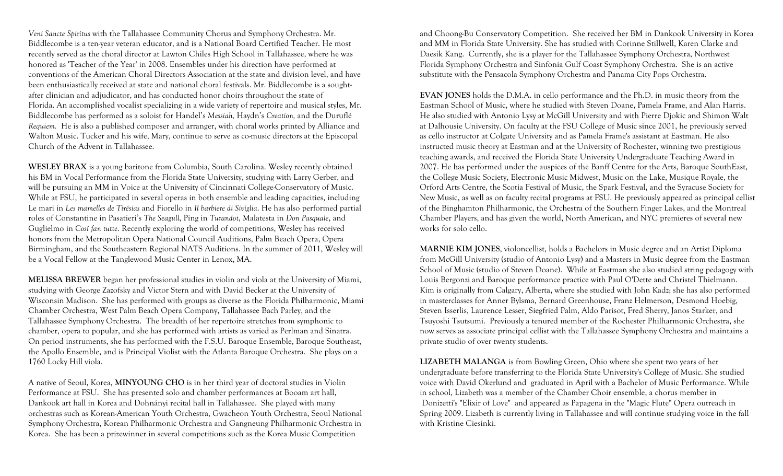*Veni Sancte Spiritus* with the Tallahassee Community Chorus and Symphony Orchestra. Mr. Biddlecombe is a ten-year veteran educator, and is a National Board Certified Teacher. He most recently served as the choral director at Lawton Chiles High School in Tallahassee, where he was honored as 'Teacher of the Year' in 2008. Ensembles under his direction have performed at conventions of the American Choral Directors Association at the state and division level, and have been enthusiastically received at state and national choral festivals. Mr. Biddlecombe is a soughtafter clinician and adjudicator, and has conducted honor choirs throughout the state of Florida. An accomplished vocalist specializing in a wide variety of repertoire and musical styles, Mr. Biddlecombe has performed as a soloist for Handel's *Messiah,* Haydn's *Creation,* and the Duruflé *Requiem.* He is also a published composer and arranger, with choral works printed by Alliance and Walton Music. Tucker and his wife, Mary, continue to serve as co-music directors at the Episcopal Church of the Advent in Tallahassee.

**WESLEY BRAX** is a young baritone from Columbia, South Carolina. Wesley recently obtained his BM in Vocal Performance from the Florida State University, studying with Larry Gerber, and will be pursuing an MM in Voice at the University of Cincinnati College-Conservatory of Music. While at FSU, he participated in several operas in both ensemble and leading capacities, including Le mari in *Les mamelles de Tirésias* and Fiorello in *Il barbiere di Siviglia*. He has also performed partial roles of Constantine in Pasatieri's *The Seagull*, Ping in *Turandot*, Malatesta in *Don Pasquale*, and Guglielmo in *Cosí fan tutte*. Recently exploring the world of competitions, Wesley has received honors from the Metropolitan Opera National Council Auditions, Palm Beach Opera, Opera Birmingham, and the Southeastern Regional NATS Auditions. In the summer of 2011, Wesley will be a Vocal Fellow at the Tanglewood Music Center in Lenox, MA.

**MELISSA BREWER** began her professional studies in violin and viola at the University of Miami, studying with George Zazofsky and Victor Stern and with David Becker at the University of Wisconsin Madison. She has performed with groups as diverse as the Florida Philharmonic, Miami Chamber Orchestra, West Palm Beach Opera Company, Tallahassee Bach Parley, and the Tallahassee Symphony Orchestra. The breadth of her repertoire stretches from symphonic to chamber, opera to popular, and she has performed with artists as varied as Perlman and Sinatra. On period instruments, she has performed with the F.S.U. Baroque Ensemble, Baroque Southeast, the Apollo Ensemble, and is Principal Violist with the Atlanta Baroque Orchestra. She plays on a 1760 Locky Hill viola.

A native of Seoul, Korea, **MINYOUNG CHO** is in her third year of doctoral studies in Violin Performance at FSU. She has presented solo and chamber performances at Booam art hall, Dankook art hall in Korea and Dohnányi recital hall in Tallahassee. She played with many orchestras such as Korean-American Youth Orchestra, Gwacheon Youth Orchestra, Seoul National Symphony Orchestra, Korean Philharmonic Orchestra and Gangneung Philharmonic Orchestra in Korea. She has been a prizewinner in several competitions such as the Korea Music Competition

and Choong-Bu Conservatory Competition. She received her BM in Dankook University in Korea and MM in Florida State University. She has studied with Corinne Stillwell, Karen Clarke and Daesik Kang. Currently, she is a player for the Tallahassee Symphony Orchestra, Northwest Florida Symphony Orchestra and Sinfonia Gulf Coast Symphony Orchestra. She is an active substitute with the Pensacola Symphony Orchestra and Panama City Pops Orchestra.

**EVAN JONES** holds the D.M.A. in cello performance and the Ph.D. in music theory from the Eastman School of Music, where he studied with Steven Doane, Pamela Frame, and Alan Harris. He also studied with Antonio Lysy at McGill University and with Pierre Djokic and Shimon Walt at Dalhousie University. On faculty at the FSU College of Music since 2001, he previously served as cello instructor at Colgate University and as Pamela Frame's assistant at Eastman. He also instructed music theory at Eastman and at the University of Rochester, winning two prestigious teaching awards, and received the Florida State University Undergraduate Teaching Award in 2007. He has performed under the auspices of the Banff Centre for the Arts, Baroque SouthEast, the College Music Society, Electronic Music Midwest, Music on the Lake, Musique Royale, the Orford Arts Centre, the Scotia Festival of Music, the Spark Festival, and the Syracuse Society for New Music, as well as on faculty recital programs at FSU. He previously appeared as principal cellist of the Binghamton Philharmonic, the Orchestra of the Southern Finger Lakes, and the Montreal Chamber Players, and has given the world, North American, and NYC premieres of several new works for solo cello.

**MARNIE KIM JONES**, violoncellist, holds a Bachelors in Music degree and an Artist Diploma from McGill University (studio of Antonio Lysy) and a Masters in Music degree from the Eastman School of Music (studio of Steven Doane). While at Eastman she also studied string pedagogy with Louis Bergonzi and Baroque performance practice with Paul O'Dette and Christel Thielmann. Kim is originally from Calgary, Alberta, where she studied with John Kadz; she has also performed in masterclasses for Anner Bylsma, Bernard Greenhouse, Franz Helmerson, Desmond Hoebig, Steven Isserlis, Laurence Lesser, Siegfried Palm, Aldo Parisot, Fred Sherry, Janos Starker, and Tsuyoshi Tsutsumi. Previously a tenured member of the Rochester Philharmonic Orchestra, she now serves as associate principal cellist with the Tallahassee Symphony Orchestra and maintains a private studio of over twenty students.

**LIZABETH MALANGA** is from Bowling Green, Ohio where she spent two years of her undergraduate before transferring to the Florida State University's College of Music. She studied voice with David Okerlund and graduated in April with a Bachelor of Music Performance. While in school, Lizabeth was a member of the Chamber Choir ensemble, a chorus member in Donizetti's "Elixir of Love" and appeared as Papagena in the "Magic Flute" Opera outreach in Spring 2009. Lizabeth is currently living in Tallahassee and will continue studying voice in the fall with Kristine Ciesinki.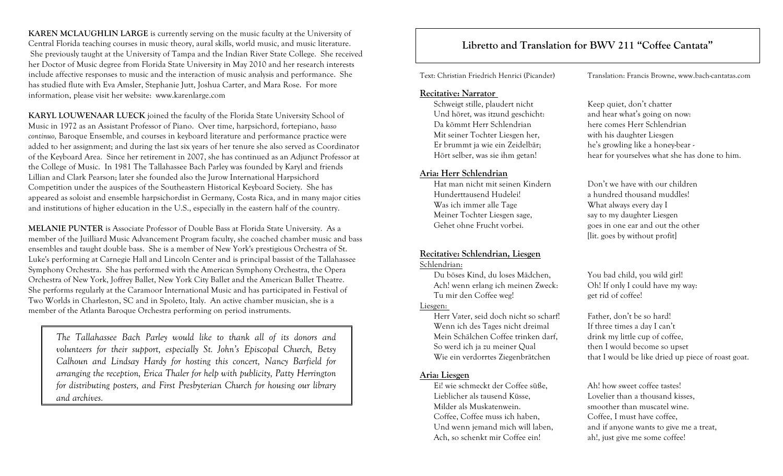**KAREN MCLAUGHLIN LARGE** is currently serving on the music faculty at the University of Central Florida teaching courses in music theory, aural skills, world music, and music literature. She previously taught at the University of Tampa and the Indian River State College. She received her Doctor of Music degree from Florida State University in May 2010 and her research interests include affective responses to music and the interaction of music analysis and performance. She has studied flute with Eva Amsler, Stephanie Jutt, Joshua Carter, and Mara Rose. For more information, please visit her website: www.karenlarge.com

**KARYL LOUWENAAR LUECK** joined the faculty of the Florida State University School of Music in 1972 as an Assistant Professor of Piano. Over time, harpsichord, fortepiano, *basso continuo,* Baroque Ensemble, and courses in keyboard literature and performance practice were added to her assignment; and during the last six years of her tenure she also served as Coordinator of the Keyboard Area. Since her retirement in 2007, she has continued as an Adjunct Professor at the College of Music. In 1981 The Tallahassee Bach Parley was founded by Karyl and friends Lillian and Clark Pearson; later she founded also the Jurow International Harpsichord Competition under the auspices of the Southeastern Historical Keyboard Society. She has appeared as soloist and ensemble harpsichordist in Germany, Costa Rica, and in many major cities and institutions of higher education in the U.S., especially in the eastern half of the country.

**MELANIE PUNTER** is Associate Professor of Double Bass at Florida State University. As a member of the Juilliard Music Advancement Program faculty, she coached chamber music and bass ensembles and taught double bass. She is a member of New York's prestigious Orchestra of St. Luke's performing at Carnegie Hall and Lincoln Center and is principal bassist of the Tallahassee Symphony Orchestra. She has performed with the American Symphony Orchestra, the Opera Orchestra of New York, Joffrey Ballet, New York City Ballet and the American Ballet Theatre. She performs regularly at the Caramoor International Music and has participated in Festival of Two Worlds in Charleston, SC and in Spoleto, Italy. An active chamber musician, she is a member of the Atlanta Baroque Orchestra performing on period instruments.

*The Tallahassee Bach Parley would like to thank all of its donors and volunteers for their support, especially St. John's Episcopal Church, Betsy Calhoun and Lindsay Hardy for hosting this concert, Nancy Barfield for arranging the reception, Erica Thaler for help with publicity, Patty Herrington for distributing posters, and First Presbyterian Church for housing our library and archives.*

# **Libretto and Translation for BWV 211 "Coffee Cantata"**

Text: Christian Friedrich Henrici (Picander) Translation: Francis Browne, www.bach-cantatas.com

#### **Recitative: Narrator**

Schweigt stille, plaudert nicht Keep quiet, don't chatter Und höret, was itzund geschicht: and hear what's going on now: Da kömmt Herr Schlendrian here comes Herr Schlendrian Mit seiner Tochter Liesgen her, with his daughter Liesgen Er brummt ja wie ein Zeidelbär; he's growling like a honey-bear -

#### **Aria: Herr Schlendrian**

Hat man nicht mit seinen Kindern Don't we have with our children Hunderttausend Hudelei! a hundred thousand muddles! Was ich immer alle Tage What always every day I Meiner Tochter Liesgen sage, say to my daughter Liesgen Gehet ohne Frucht vorbei. goes in one ear and out the other

#### **Recitative: Schlendrian, Liesgen** Schlendrian:

Du böses Kind, du loses Mädchen, You bad child, you wild girl! Ach! wenn erlang ich meinen Zweck: Oh! If only I could have my way: Tu mir den Coffee weg! get rid of coffee!

#### Liesgen:

Herr Vater, seid doch nicht so scharf! Father, don't be so hard! Wenn ich des Tages nicht dreimal If three times a day I can't Mein Schälchen Coffee trinken darf, drink my little cup of coffee, So werd ich ja zu meiner Qual then I would become so upset

#### **Aria: Liesgen**

Ei! wie schmeckt der Coffee süße, Ah! how sweet coffee tastes! Lieblicher als tausend Küsse, Lovelier than a thousand kisses, Milder als Muskatenwein. Smoother than muscatel wine. Coffee, Coffee muss ich haben, Coffee, I must have coffee, Ach, so schenkt mir Coffee ein! ah!, just give me some coffee!

Hört selber, was sie ihm getan! hear for yourselves what she has done to him.

[lit. goes by without profit]

Wie ein verdorrtes Ziegenbrätchen that I would be like dried up piece of roast goat.

Und wenn jemand mich will laben, and if anyone wants to give me a treat,